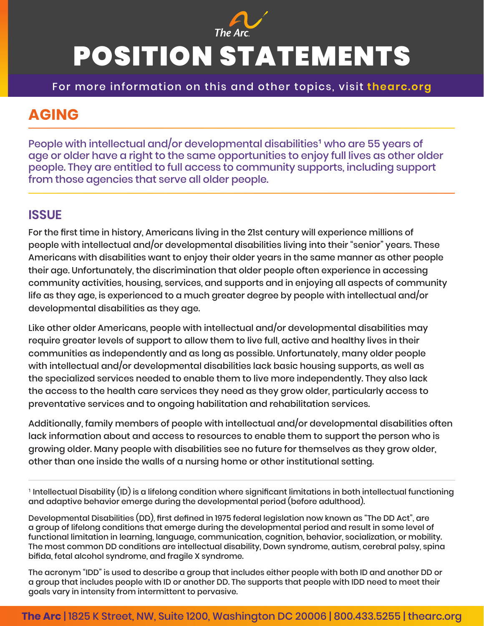

## POSITION STATEMENTS

For more information on this and other topics, visit **thearc.org**

## **AGING**

People with intellectual and/or developmental disabilities<sup>1</sup> who are 55 years of age or older have a right to the same opportunities to enjoy full lives as other older people. They are entitled to full access to community supports, including support from those agencies that serve all older people.

## **ISSUE**

For the first time in history, Americans living in the 21st century will experience millions of people with intellectual and/or developmental disabilities living into their "senior" years. These Americans with disabilities want to enjoy their older years in the same manner as other people their age. Unfortunately, the discrimination that older people often experience in accessing community activities, housing, services, and supports and in enjoying all aspects of community life as they age, is experienced to a much greater degree by people with intellectual and/or developmental disabilities as they age.

Like other older Americans, people with intellectual and/or developmental disabilities may require greater levels of support to allow them to live full, active and healthy lives in their communities as independently and as long as possible. Unfortunately, many older people with intellectual and/or developmental disabilities lack basic housing supports, as well as the specialized services needed to enable them to live more independently. They also lack the access to the health care services they need as they grow older, particularly access to preventative services and to ongoing habilitation and rehabilitation services.

Additionally, family members of people with intellectual and/or developmental disabilities often lack information about and access to resources to enable them to support the person who is growing older. Many people with disabilities see no future for themselves as they grow older, other than one inside the walls of a nursing home or other institutional setting.

```
1
 Intellectual Disability (ID) is a lifelong condition where significant limitations in both intellectual functioning 
and adaptive behavior emerge during the developmental period (before adulthood).
```
Developmental Disabilities (DD), first defined in 1975 federal legislation now known as "The DD Act", are a group of lifelong conditions that emerge during the developmental period and result in some level of functional limitation in learning, language, communication, cognition, behavior, socialization, or mobility. The most common DD conditions are intellectual disability, Down syndrome, autism, cerebral palsy, spina bifida, fetal alcohol syndrome, and fragile X syndrome.

The acronym "IDD" is used to describe a group that includes either people with both ID and another DD or a group that includes people with ID or another DD. The supports that people with IDD need to meet their goals vary in intensity from intermittent to pervasive.